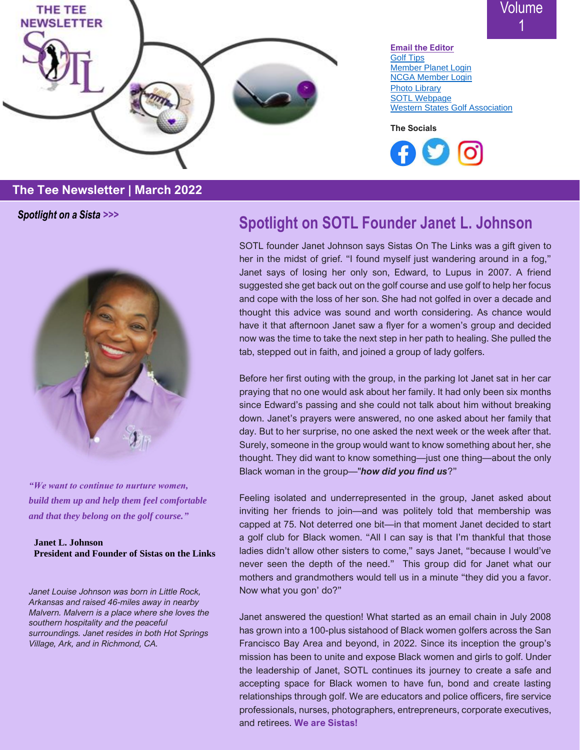

Volume 1

**[Email the Editor](mailto:jdaineh312@gmail.com)** [Golf Tips](https://sistasonthelinks.net/new-member-tips/) [Member Planet Login](https://www.memberplanet.com/Login.aspx) [NCGA Member Login](https://ncga.org/memberarea/post-a-score/) [Photo Library](https://www.flickr.com/photos/195067817@N02/) [SOTL Webpage](https://sistasonthelinks.net/) [Western States Golf Association](https://westernstatesgolf.com/)

**The Socials**



#### **The Tee Newsletter | March 2022**

*Spotlight on a Sista >>>*



*"We want to continue to nurture women, build them up and help them feel comfortable and that they belong on the golf course."*

**Janet L. Johnson President and Founder of Sistas on the Links**

*Janet Louise Johnson was born in Little Rock, Arkansas and raised 46-miles away in nearby Malvern. Malvern is a place where she loves the southern hospitality and the peaceful surroundings. Janet resides in both Hot Springs Village, Ark, and in Richmond, CA.*

### **Spotlight on SOTL Founder Janet L. Johnson**

SOTL founder Janet Johnson says Sistas On The Links was a gift given to her in the midst of grief. "I found myself just wandering around in a fog," Janet says of losing her only son, Edward, to Lupus in 2007. A friend suggested she get back out on the golf course and use golf to help her focus and cope with the loss of her son. She had not golfed in over a decade and thought this advice was sound and worth considering. As chance would have it that afternoon Janet saw a flyer for a women's group and decided now was the time to take the next step in her path to healing. She pulled the tab, stepped out in faith, and joined a group of lady golfers.

Before her first outing with the group, in the parking lot Janet sat in her car praying that no one would ask about her family. It had only been six months since Edward's passing and she could not talk about him without breaking down. Janet's prayers were answered, no one asked about her family that day. But to her surprise, no one asked the next week or the week after that. Surely, someone in the group would want to know something about her, she thought. They did want to know something—just one thing—about the only Black woman in the group—"*how did you find us*?"

Feeling isolated and underrepresented in the group, Janet asked about inviting her friends to join—and was politely told that membership was capped at 75. Not deterred one bit—in that moment Janet decided to start a golf club for Black women. "All I can say is that I'm thankful that those ladies didn't allow other sisters to come," says Janet, "because I would've never seen the depth of the need." This group did for Janet what our mothers and grandmothers would tell us in a minute "they did you a favor. Now what you gon' do?"

Janet answered the question! What started as an email chain in July 2008 has grown into a 100-plus sistahood of Black women golfers across the San Francisco Bay Area and beyond, in 2022. Since its inception the group's mission has been to unite and expose Black women and girls to golf. Under the leadership of Janet, SOTL continues its journey to create a safe and accepting space for Black women to have fun, bond and create lasting relationships through golf. We are educators and police officers, fire service professionals, nurses, photographers, entrepreneurs, corporate executives, and retirees. **We are Sistas!**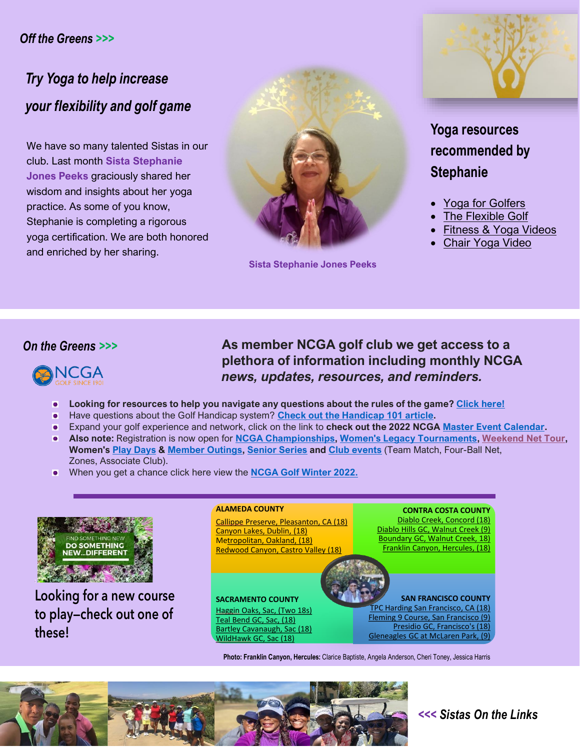#### *Off the Greens >>>*

### *Try Yoga to help increase your flexibility and golf game*

We have so many talented Sistas in our club. Last month **Sista Stephanie Jones Peeks** graciously shared her wisdom and insights about her yoga practice. As some of you know, Stephanie is completing a rigorous yoga certification. We are both honored and enriched by her sharing.



**Sista Stephanie Jones Peeks**



**Yoga resources recommended by Stephanie**

- [Yoga for Golfers](https://www.youtube.com/watch?v=no9Ys43D-BQ)
- **[The Flexible Golf](https://www.youtube.com/watch?v=e42ye-nYMJ8)**
- [Fitness & Yoga Videos](https://www.youtube.com/watch?v=V8Y7FcLvqYk)
- **[Chair Yoga Video](https://www.youtube.com/watch?v=4eCb3TFHnTg)**

#### *On the Greens >>>*



**As member NCGA golf club we get access to a plethora of information including monthly NCGA**  *news, updates, resources, and reminders.*

- **Looking for resources to help you navigate any questions about the rules of the game? [Click here!](https://ncga.org/rules/)**
- Have questions about the Golf Handicap system? **[Check out the Handicap 101](https://ncga.org/handicap/handicap101/?utm_campaign=Membership%20Operations&utm_medium=email&_hsmi=205486505&_hsenc=p2ANqtz--iKH55gjK4iwzXlSgfBzJwzzrzSBsfCliS7kvQVRtSJIHffwLd77JjlJXY83YX1mFK0yMviKU9BEk0y1rhr5TpiOzHHQ&utm_content=205486505&utm_source=hs_email) article.**
- Expand your golf experience and network, click on the link to **check out the 2022 NCGA [Master Event Calendar.](https://ncga.bluegolf.com/bluegolf/ncga22/schedule/index.htm?display=date&neweventschedule=*&utm_campaign=Participation&utm_medium=email&_hsmi=205486505&_hsenc=p2ANqtz--iA9yGVDE_XoiRTuS7RVZUeMVNz-T16WtnRiEmC4MwbVHE6CWtUII-trOSeMtaFYWB9WJUHhIcz1iR6p2ZSQ899YfZ4w&utm_source=hs_email)**
- **Also note:** Registration is now open for **[NCGA Championships,](https://pages.ncga.org/e3t/Btc/2I+113/cjYtM04/VVsX7W49mBFRW7txcRp4p90V2W7Wb0M14G8Z6wN9cd5GL3hpP1V1-WJV7CgKfrN6q7-N4wvxDFW3Sj_Xy48BQBfW90vc4z3XQTf3N87GvRzcGsW2W48kPcJ3LmC6hW23D5wZ7gjyF0VJ_R2y2s8-ZyW3C_yw94F1FSXW85HrL16m2fVHW7_FSQ95zfR-XVKR5FP7sVlY8W4VqHw43xhdtgW8CpM5Y7sDyzrW5jnpz64x0b2kW6sy4fF2RdbYfW6PFGqt6SC29cVYYxqC74t_KmN51Sm6DMZ4lYN5jtG5WLKCVQW3kdSBm5xw2_g3jdh1) [Women's Legacy Tournaments,](https://pages.ncga.org/e3t/Btc/2I+113/cjYtM04/VVsX7W49mBFRW7txcRp4p90V2W7Wb0M14G8Z6wN9cd5GL3hpP1V1-WJV7CgNy9VllQr85dHdXdW5dlVs98Vm3QZW4VbD9-5dZq4mW1g8QWB7K7N7qN9ccMZZpMHyzW6s1H2N6d_JWNW3bL4Sl243rXZW6SMq_v7ZfbSmW6c5LP72xxDM5N9h2cZq8Gt8CW1YyfcL7RpjqKW8CBLKk5PQwYWW8s7xly7YrcfRW6JZw5D767ch5W6hBLv873VwNJW5N2kTH2SFRfQW7XYhMj76X8_CW60FKgv1jRwyFW6cGKZ-5LwN0ZW6XP5HG8Nt4G63dXh1) [Weekend Net Tour,](https://pages.ncga.org/e3t/Btc/2I+113/cjYtM04/VVsX7W49mBFRW7txcRp4p90V2W7Wb0M14G8Z6wN9cd5Gr3hpNLV1-WJV7CgSPKW1-BJjv4c3DGGW8711vj4Zglt5W6c1tbr7kMQFFW113hZn4s7qkWW3LJvSL1fCzxLVgWlrN1X2TnbW2CFNW33CzSYxW5PTt5b8z_35xW63KbfL4CfjK5W8J50fl5sbPq1W7FczZV49crHNV3JvKF8fX-WsW7gS_J87jsrdcW8vmvw31MY8CxW7wwPK-1CxhBKVQRyrS52b7TwV-46Jq1mcmmtVqgblC7fh7J-37P91) Women's Play [Days](https://pages.ncga.org/e3t/Btc/2I+113/cjYtM04/VVsX7W49mBFRW7txcRp4p90V2W7Wb0M14G8Z6wN9cd5Gr3hpNLV1-WJV7CgVjLW2xs1lj7gKvSLW7WHvMQ1QrGkFW6GNlf96sl0pfW7qKfQq2BgNllW8q9d2h2-q4LdN1SGB5_8vQ5FW6vw57R1nnlcSW65LRwl7p7LM3W8TGMv57K-Sw5N1nnYF_6cgc5W5q1vV74dHHHtW4Kdk6z8BpmGHW5952rb7nBJX3V40J6-34bYGZW5lPKSJ4lPqrpW4vJzhz2V-NnRW1518pt89qk8NW3NBLhG6J7qDN3fCS1) & [Member Outings,](https://pages.ncga.org/e3t/Btc/2I+113/cjYtM04/VVsX7W49mBFRW7txcRp4p90V2W7Wb0M14G8Z6wN9cd5GL3hpP1V1-WJV7CgHh0W57LYxf264FhyW50hjrq6M6ps1W1fxPsd2Wb9Q8V3-j8B2QdpDjW6kYBYh96t3gKW1M2t45861SRFW69DL7C3YTLMqVnrDR925nGj7W980fMD4LlTwrW9jRgKq2LPDKPW8MYg_K18ngVtN1--HX-nR2nGW7YS8Tj4jLQSHW8c36tT1PW1WBW85NF3K2Tx7fzW8-qTvN1T_Lx1W4twBsr3zD_SfW62-s2d3dqCX3W4Qg4gJ87rDG9W8RsK165G5fwQ32Vl1) [Senior Series](https://pages.ncga.org/e3t/Btc/2I+113/cjYtM04/VVsX7W49mBFRW7txcRp4p90V2W7Wb0M14G8Z6wN9cd5Gr3hpNLV1-WJV7CgYxTW1KqYpw5z07SZW8L4Qnf52l_0qVFgYVN4xBYt8W7Jm_yp5dYq8yVnznXZ204VT9N4G5ttjZWBwBW2R7FmK5-S4ZFW7k1pdT5dzd1JW3pcT7T5CNPq5W9dggpw60_Q0PW2m90jn4wtTtYW8GK0v-2-FN-nN67jH4vjy5kjW4Wz0NL3JbL-YN77hyxTqZdPxW8FlTf77T_5vfN8ws5y3RXrH7W7DF_zF87gWB639dh1) and [Club events](https://pages.ncga.org/e3t/Btc/2I+113/cjYtM04/VVsX7W49mBFRW7txcRp4p90V2W7Wb0M14G8Z6wN9cd5GL3hpP1V1-WJV7CgSW4W527jGR40NJSHW6N8JVm3Ths1rW58Hxjk8b32BhVTj5283dGg06W6NklZC8JNHspW7tr5lP8398XCMLv9k0BW8HqN7V_22WQ87v-VDmfyc5nJQ4kW3Hw-Bn82dGffVfRLd56Z2Kq-W3D7pCT5jG5LhVK-snh4jFK85W4ngq683fHgJfMX0k9CMFWKjW2VFWf03NG1HMW9fB-X87XGqPzW3gx_F44s5K0zW3mw3wT77Pd3RW7bXKDy5l1KBq3fVr1)** (Team Match, Four-Ball Net, Zones, Associate Club).
- When you get a chance click here view the **[NCGA Golf Winter 2022.](https://pages.ncga.org/e3t/Btc/2I+113/cjYtM04/VVsX7W49mBFRW7txcRp4p90V2W7Wb0M14G8Z6wN9cd5HX3q3phV1-WJV7CgBBLW1ppC7L8PLVn_W36pv_M4-TgNKW4NZw1P12SPbyVB2dZ-1sjf_wW8l9bCK60vKLtN7CtlqwGqy1WW8KlS5K2KxnNXVR_g903-HmClVZmpPd8yR207W5K8TgH8332CkVH-qZ97yZkj_VGpvnG3wP6MxW4hQBl53wNJCrW1GcXQd5VFg7rW5xbYnB6wDF-NW6632xD8YVC22W9lFw0j2mYvNTW6NJclK2-c2vhVX1blL3y1YjtW3lxRcJ7L0CBPW1vQkjM72q78dW4T3lZZ36bxBFW8jfbz59l3LqzW1nWw7w13ZzjcW4-vxh-7PgWXCVcSWbW6h3Y31W6RncLN1m415WW4B3wLg2J7bvd32_Y1)**



Looking for a new course to play—check out one of these!

#### **ALAMEDA COUNTY**

Callippe [Preserve, Pleasanton, CA \(18\)](https://www.playcallippe.com/) [Canyon Lakes, Dublin, \(18\)](https://www.canyonlakesgolfbrew.com/) M[etropolitan, Oakland, \(18\)](https://www.playmetro.com/) [Redwood Canyon, Castro Valley \(18\)](https://www.redwoodcanyongolf.com/)

**SACRAMENTO COUNTY** Haggin [Oaks, Sac, \(Two 18s\)](https://www.hagginoaks.com/) [Teal Bend GC, Sac, \(18\)](https://tealbendgolf.com/) [Bartley Cavanaugh, Sac \(18\)](https://bartleycavanaugh.ottogolf.com/booking/3/) WildHawk [GC, Sac \(18\)](http://www.wildhawkgolf.com/)

**CONTRA COSTA COUNTY** [Diablo Creek, Concord \(18\)](https://www.diablocreekgc.com/) [Diablo Hills GC, Walnut Creek \(9\)](http://diablohillsgolfcourse.com/) [Boundary GC, Walnut Creek, 18\)](https://www.playboundaryoak.com/)  [Franklin Canyon, Hercules, \(18\)](https://www.franklincanyongolf.com/)

**SAN FRANCISCO COUNTY**  [TPC Harding San Francisco, CA \(18\)](https://tpc.com/hardingpark/fleming-course/) Fleming 9 Course, San Francisco (9) Presidio GC, Francisco's (18) [Gleneagles GC at McLaren Park, \(9\)](https://www.presidiogolf.com/)

**Photo: Franklin Canyon, Hercules:** Clarice Baptiste, Angela Anderson, Cheri Toney, Jessica Harris



#### *<<< Sistas On the Links*